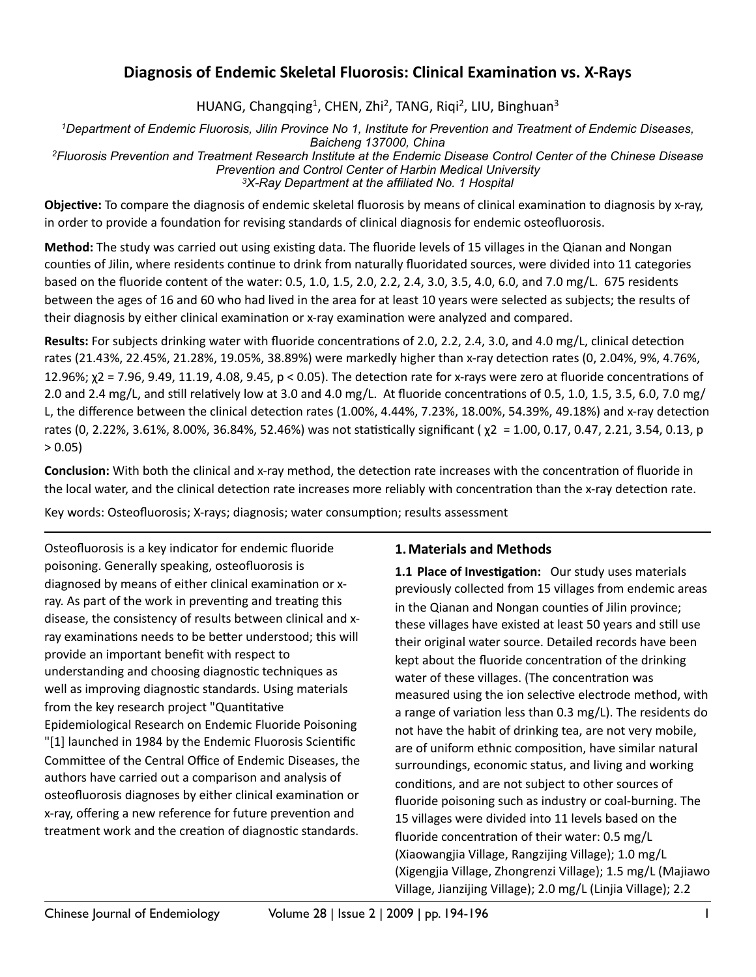# **Diagnosis of Endemic Skeletal Fluorosis: Clinical Examination vs. X-Rays**

HUANG, Changqing<sup>1</sup>, CHEN, Zhi<sup>2</sup>, TANG, Riqi<sup>2</sup>, LIU, Binghuan<sup>3</sup>

*1Department of Endemic Fluorosis, Jilin Province No 1, Institute for Prevention and Treatment of Endemic Diseases, Baicheng 137000, China 2Fluorosis Prevention and Treatment Research Institute at the Endemic Disease Control Center of the Chinese Disease Prevention and Control Center of Harbin Medical University 3X-Ray Department at the affiliated No. 1 Hospital*

**Objective:** To compare the diagnosis of endemic skeletal fluorosis by means of clinical examination to diagnosis by x-ray, in order to provide a foundation for revising standards of clinical diagnosis for endemic osteofluorosis.

**Method:** The study was carried out using existing data. The fluoride levels of 15 villages in the Qianan and Nongan counties of Jilin, where residents continue to drink from naturally fluoridated sources, were divided into 11 categories based on the fluoride content of the water: 0.5, 1.0, 1.5, 2.0, 2.2, 2.4, 3.0, 3.5, 4.0, 6.0, and 7.0 mg/L.  $675$  residents between the ages of 16 and 60 who had lived in the area for at least 10 years were selected as subjects; the results of their diagnosis by either clinical examination or x-ray examination were analyzed and compared.

**Results:** For subjects drinking water with fluoride concentrations of 2.0, 2.2, 2.4, 3.0, and 4.0 mg/L, clinical detection rates (21.43%, 22.45%, 21.28%, 19.05%, 38.89%) were markedly higher than x-ray detection rates (0, 2.04%, 9%, 4.76%, 12.96%;  $\chi$ 2 = 7.96, 9.49, 11.19, 4.08, 9.45,  $p < 0.05$ ). The detection rate for x-rays were zero at fluoride concentrations of 2.0 and 2.4 mg/L, and still relatively low at 3.0 and 4.0 mg/L. At fluoride concentrations of 0.5, 1.0, 1.5, 3.5, 6.0, 7.0 mg/ L, the difference between the clinical detection rates  $(1.00\%, 4.44\%, 7.23\%, 18.00\%, 54.39\%, 49.18\%)$  and x-ray detection rates (0, 2.22%, 3.61%, 8.00%, 36.84%, 52.46%) was not statistically significant ( $\chi$ 2 = 1.00, 0.17, 0.47, 2.21, 3.54, 0.13, p  $> 0.05$ 

**Conclusion:** With both the clinical and x-ray method, the detection rate increases with the concentration of fluoride in the local water, and the clinical detection rate increases more reliably with concentration than the x-ray detection rate.

Key words: Osteofluorosis; X-rays; diagnosis; water consumption; results assessment

Osteofluorosis is a key indicator for endemic fluoride poisoning. Generally speaking, osteofluorosis is diagnosed by means of either clinical examination or xray. As part of the work in preventing and treating this disease, the consistency of results between clinical and xray examinations needs to be better understood; this will provide an important benefit with respect to understanding and choosing diagnostic techniques as well as improving diagnostic standards. Using materials from the key research project "Quantitative Epidemiological Research on Endemic Fluoride Poisoning "[1] launched in 1984 by the Endemic Fluorosis Scientific Committee of the Central Office of Endemic Diseases, the authors have carried out a comparison and analysis of osteofluorosis diagnoses by either clinical examination or x-ray, offering a new reference for future prevention and treatment work and the creation of diagnostic standards.

## **1. Materials and Methods**

**1.1 Place of Investigation:** Our study uses materials previously collected from 15 villages from endemic areas in the Qianan and Nongan counties of Jilin province; these villages have existed at least 50 years and still use their original water source. Detailed records have been kept about the fluoride concentration of the drinking water of these villages. (The concentration was measured using the ion selective electrode method, with a range of variation less than 0.3 mg/L). The residents do not have the habit of drinking tea, are not very mobile, are of uniform ethnic composition, have similar natural surroundings, economic status, and living and working conditions, and are not subject to other sources of fluoride poisoning such as industry or coal-burning. The 15 villages were divided into 11 levels based on the fluoride concentration of their water:  $0.5 \text{ me/L}$ (Xiaowangjia Village, Rangzijing Village); 1.0 mg/L (Xigengjia Village, Zhongrenzi Village); 1.5 mg/L (Majiawo Village, Jianzijing Village); 2.0 mg/L (Linjia Village); 2.2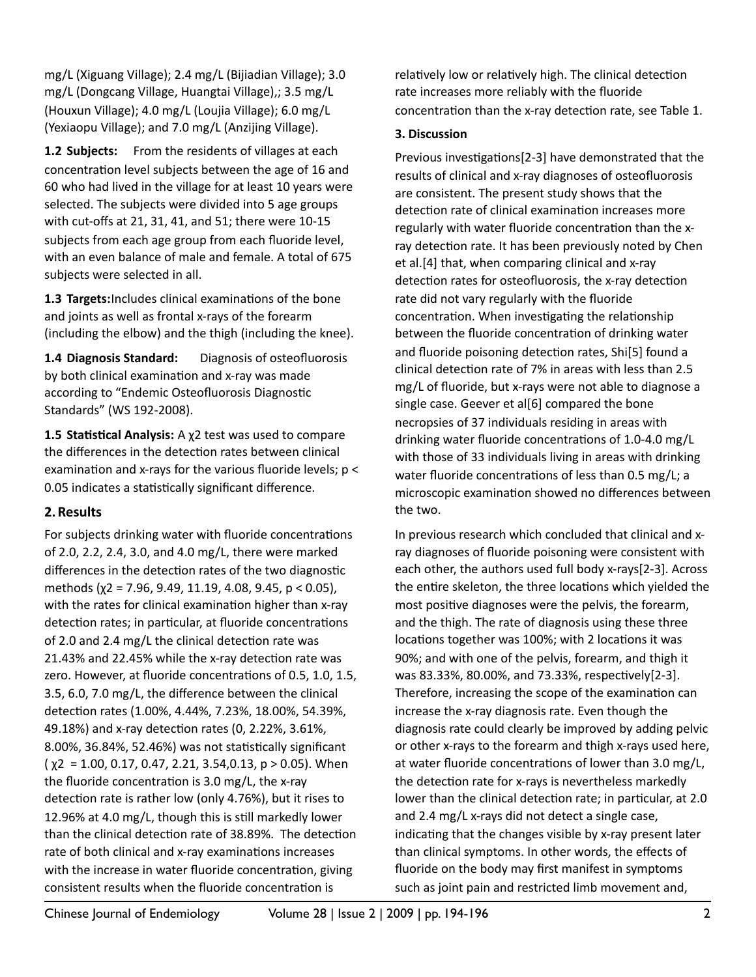mg/L (Xiguang Village); 2.4 mg/L (Bijiadian Village); 3.0 mg/L (Dongcang Village, Huangtai Village),; 3.5 mg/L (Houxun Village); 4.0 mg/L (Loujia Village); 6.0 mg/L (Yexiaopu Village); and 7.0 mg/L (Anzijing Village).

**1.2 Subjects:** From the residents of villages at each concentration level subjects between the age of 16 and 60 who had lived in the village for at least 10 years were selected. The subjects were divided into 5 age groups with cut-offs at 21, 31, 41, and 51; there were 10-15 subjects from each age group from each fluoride level, with an even balance of male and female. A total of 675 subjects were selected in all.

1.3 Targets: Includes clinical examinations of the bone and joints as well as frontal x-rays of the forearm (including the elbow) and the thigh (including the knee).

**1.4 Diagnosis Standard:** Diagnosis of osteofluorosis by both clinical examination and x-ray was made according to "Endemic Osteofluorosis Diagnostic Standards" (WS 192-2008).

**1.5 Statistical Analysis:** A  $\chi$ 2 test was used to compare the differences in the detection rates between clinical examination and x-rays for the various fluoride levels;  $p <$ 0.05 indicates a statistically significant difference.

## **2.Results**

For subjects drinking water with fluoride concentrations of 2.0, 2.2, 2.4, 3.0, and 4.0 mg/L, there were marked differences in the detection rates of the two diagnostic methods  $(\chi^2 = 7.96, 9.49, 11.19, 4.08, 9.45, p < 0.05)$ , with the rates for clinical examination higher than x-ray detection rates; in particular, at fluoride concentrations of 2.0 and 2.4 mg/L the clinical detection rate was 21.43% and 22.45% while the x-ray detection rate was zero. However, at fluoride concentrations of 0.5, 1.0, 1.5, 3.5, 6.0, 7.0 mg/L, the difference between the clinical detection rates (1.00%, 4.44%, 7.23%, 18.00%, 54.39%, 49.18%) and x-ray detection rates (0, 2.22%, 3.61%, 8.00%, 36.84%, 52.46%) was not statistically significant  $(\chi^2 = 1.00, 0.17, 0.47, 2.21, 3.54, 0.13, p > 0.05)$ . When the fluoride concentration is  $3.0 \text{ mg/L}$ , the x-ray detection rate is rather low (only 4.76%), but it rises to 12.96% at 4.0 mg/L, though this is still markedly lower than the clinical detection rate of 38.89%. The detection rate of both clinical and x-ray examinations increases with the increase in water fluoride concentration, giving consistent results when the fluoride concentration is

relatively low or relatively high. The clinical detection rate increases more reliably with the fluoride concentration than the x-ray detection rate, see Table 1.

### **3. Discussion**

Previous investigations[2-3] have demonstrated that the results of clinical and x-ray diagnoses of osteofluorosis are consistent. The present study shows that the detection rate of clinical examination increases more regularly with water fluoride concentration than the xray detection rate. It has been previously noted by Chen et al.[4] that, when comparing clinical and x-ray detection rates for osteofluorosis, the x-ray detection rate did not vary regularly with the fluoride concentration. When investigating the relationship between the fluoride concentration of drinking water and fluoride poisoning detection rates, Shi[5] found a clinical detection rate of  $7%$  in areas with less than 2.5 mg/L of fluoride, but x-rays were not able to diagnose a single case. Geever et al[6] compared the bone necropsies of 37 individuals residing in areas with drinking water fluoride concentrations of 1.0-4.0 mg/L with those of 33 individuals living in areas with drinking water fluoride concentrations of less than  $0.5 \text{ mg/L}$ ; a microscopic examination showed no differences between the two.

In previous research which concluded that clinical and xray diagnoses of fluoride poisoning were consistent with each other, the authors used full body x-rays[2-3]. Across the entire skeleton, the three locations which yielded the most positive diagnoses were the pelvis, the forearm, and the thigh. The rate of diagnosis using these three locations together was 100%; with 2 locations it was 90%; and with one of the pelvis, forearm, and thigh it was 83.33%, 80.00%, and 73.33%, respectively[2-3]. Therefore, increasing the scope of the examination can increase the x-ray diagnosis rate. Even though the diagnosis rate could clearly be improved by adding pelvic or other x-rays to the forearm and thigh x-rays used here, at water fluoride concentrations of lower than 3.0 mg/L, the detection rate for x-rays is nevertheless markedly lower than the clinical detection rate; in particular, at 2.0 and 2.4 mg/L x-rays did not detect a single case, indicating that the changes visible by x-ray present later than clinical symptoms. In other words, the effects of fluoride on the body may first manifest in symptoms such as joint pain and restricted limb movement and,